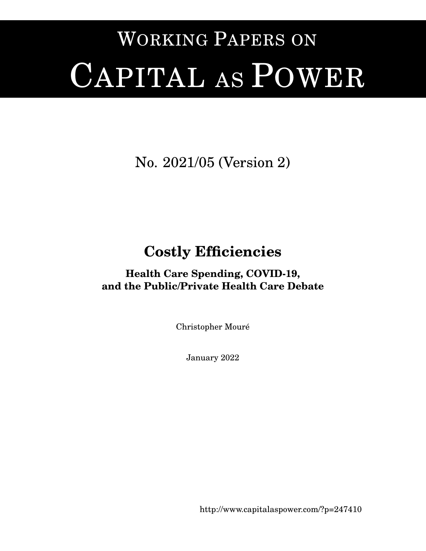# WORKING PAPERS ON CAPITAL AS POWER

# No. 2021/05 (Version 2)

# **Costly Efficiencies**

### **Health Care Spending, COVID-19, and the Public/Private Health Care Debate**

Christopher Moure´

January 2022

<http://www.capitalaspower.com/?p=247410>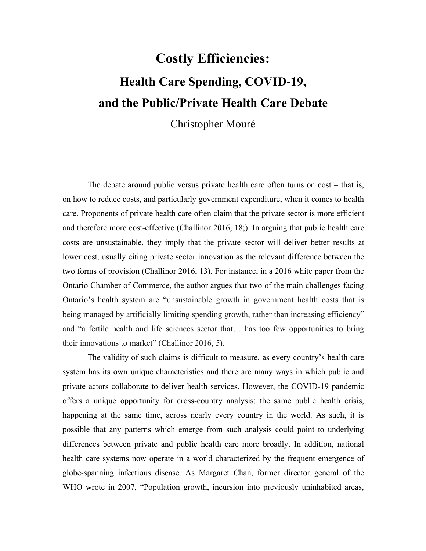# **Costly Efficiencies: Health Care Spending, COVID-19, and the Public/Private Health Care Debate**

### Christopher Mouré

The debate around public versus private health care often turns on cost – that is, on how to reduce costs, and particularly government expenditure, when it comes to health care. Proponents of private health care often claim that the private sector is more efficient and therefore more cost-effective (Challinor 2016, 18;). In arguing that public health care costs are unsustainable, they imply that the private sector will deliver better results at lower cost, usually citing private sector innovation as the relevant difference between the two forms of provision (Challinor 2016, 13). For instance, in a 2016 white paper from the Ontario Chamber of Commerce, the author argues that two of the main challenges facing Ontario's health system are "unsustainable growth in government health costs that is being managed by artificially limiting spending growth, rather than increasing efficiency" and "a fertile health and life sciences sector that… has too fewopportunities to bring their innovations to market" (Challinor 2016, 5).

The validity of such claims is difficult to measure, as every country's health care system has its own unique characteristics and there are many ways in which public and private actors collaborate to deliver health services. However, the COVID-19 pandemic offers a unique opportunity for cross-country analysis: the same public health crisis, happening at the same time, across nearly every country in the world. As such, it is possible that any patterns which emerge from such analysis could point to underlying differences between private and public health care more broadly. In addition, national health care systems now operate in a world characterized by the frequent emergence of globe-spanning infectious disease. As Margaret Chan, former director general of the WHO wrote in 2007, "Population growth, incursion into previously uninhabited areas,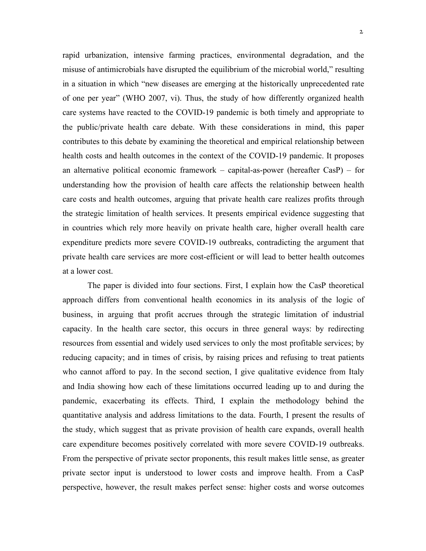rapid urbanization, intensive farming practices, environmental degradation, and the misuse of antimicrobials have disrupted the equilibrium of the microbial world," resulting in a situation in which "new diseases are emerging at the historically unprecedented rate of one per year" (WHO 2007, vi). Thus, the study of how differently organized health care systems have reacted to the COVID-19 pandemic isboth timely and appropriate to the public/private health care debate. With these considerations in mind, this paper contributes to this debate by examining the theoretical and empirical relationship between health costs and health outcomes in the context of the COVID-19 pandemic. It proposes an alternative political economic framework – capital-as-power (hereafter CasP) – for understanding how the provision of health care affects the relationship between health care costs and health outcomes, arguing that private health care realizes profits through the strategic limitation of health services. It presents empirical evidence suggesting that in countries which rely more heavily on private health care, higher overall health care expenditure predicts more severe COVID-19 outbreaks, contradicting the argument that private health care services are more cost-efficient or will lead to better health outcomes at a lower cost.

The paper is divided into four sections. First, I explain how the CasP theoretical approach differs from conventional health economics in its analysis of the logic of business, in arguing that profit accrues through the strategic limitation of industrial capacity. In the health care sector, this occurs in three general ways: by redirecting resources from essential and widely used services to only the most profitable services; by reducing capacity; and in times of crisis, by raising prices and refusing to treat patients who cannot afford to pay. In the second section, I give qualitative evidence from Italy and India showing how each of these limitations occurred leading up to and during the pandemic, exacerbating its effects. Third, I explain the methodology behind the quantitative analysis and address limitations to the data. Fourth, I present the results of the study, which suggest that as private provision of health care expands, overall health care expenditure becomes positively correlated with more severe COVID-19 outbreaks. From the perspective of private sector proponents, this result makes little sense, as greater private sector input is understood to lower costs and improve health. From a CasP perspective, however, the result makes perfect sense: higher costs and worse outcomes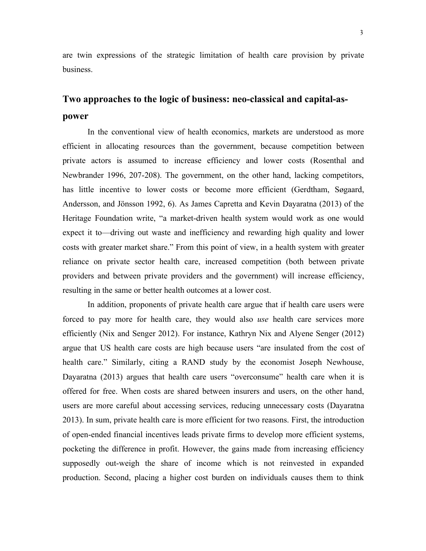are twin expressions of the strategic limitation of health care provision by private business.

## **Two approaches to the logic of business: neo-classical and capital-as power**

In the conventional view of health economics, markets are understood as more efficient in allocating resources than the government, because competition between private actors is assumed to increase efficiency and lower costs (Rosenthal and Newbrander 1996, 207-208). The government, on the other hand, lacking competitors, has little incentive to lower costs or become more efficient (Gerdtham, Søgaard, Andersson, and Jönsson 1992, 6). As James Capretta and Kevin Dayaratna (2013) of the Heritage Foundation write, "a market-driven health system would work as one would expect it to—driving out waste and inefficiency and rewarding high quality and lower costs with greater market share." From this point of view, in a health system with greater reliance on private sector health care, increased competition (both between private providers and between private providers and the government) will increase efficiency, resulting in the same or better health outcomes at a lower cost.

In addition, proponents of private health care argue that if health care users were forced to pay more for health care, they would also *use* health care services more efficiently (Nix and Senger 2012). For instance, Kathryn Nix and Alyene Senger (2012) argue that US health care costs are high because users "are insulated from the cost of health care." Similarly, citing a RAND study by the economist Joseph Newhouse, Dayaratna (2013) argues that health care users "overconsume" health care when it is offered for free. When costs are shared between insurers and users, on the other hand, users are more careful about accessing services, reducing unnecessary costs (Dayaratna 2013). In sum, private health care is more efficient for two reasons. First, the introduction of open-ended financial incentives leads private firms to develop more efficient systems, pocketing the difference in profit. However, the gains made from increasing efficiency supposedly out-weigh the share of income which is not reinvested in expanded production. Second, placing a higher cost burden on individuals causes them to think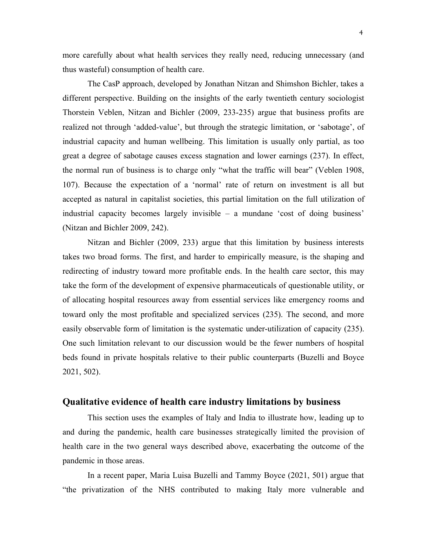more carefully about what health services they really need, reducing unnecessary (and thus wasteful) consumption of health care.

The CasP approach, developed by Jonathan Nitzan and Shimshon Bichler, takes a different perspective. Building on the insights of the early twentieth century sociologist Thorstein Veblen, Nitzan and Bichler (2009, 233-235) argue that business profits are realized not through 'added-value', but through the strategic limitation, or 'sabotage', of industrial capacity and human wellbeing. This limitation is usually only partial, as too great a degree of sabotage causes excess stagnation and lower earnings (237). In effect, the normal run of business is to charge only "what the traffic will bear" (Veblen 1908, 107). Because the expectation of a 'normal' rate of return on investment is all but accepted as natural in capitalist societies, this partial limitation on the full utilization of industrial capacity becomes largely invisible – a mundane 'cost of doing business' (Nitzan and Bichler 2009, 242).

Nitzan and Bichler (2009, 233) argue that this limitation by business interests takes two broad forms. The first, and harder to empirically measure, is the shaping and redirecting of industry toward more profitable ends. In the health care sector, this may take the form of the development of expensive pharmaceuticals of questionable utility, or of allocating hospital resources away from essential services like emergency rooms and toward only the most profitable and specialized services (235). The second, and more easily observable form of limitation is the systematic under-utilization of capacity (235). One such limitation relevant to our discussion would be the fewer numbers of hospital beds found in private hospitals relative to their public counterparts (Buzelli and Boyce 2021, 502).

#### **Qualitative evidence of health care industry limitations by business**

This section uses the examples of Italy and India to illustrate how, leading up to and during the pandemic, health care businesses strategically limited the provision of health care in the two general ways described above, exacerbating the outcome of the pandemic in those areas.

In a recent paper, Maria Luisa Buzelliand Tammy Boyce (2021, 501) argue that "the privatization of the NHS contributed to making Italy more vulnerable and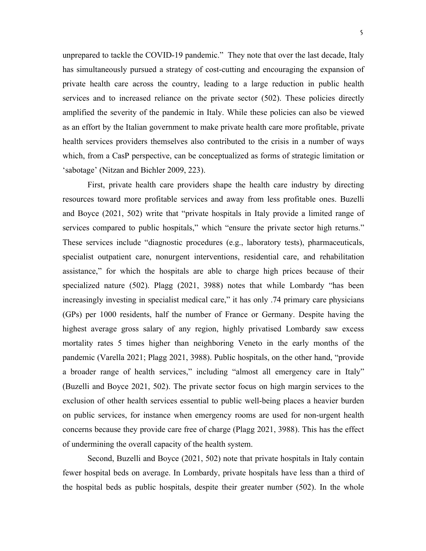unprepared to tackle the COVID-19 pandemic." They note that over the last decade, Italy has simultaneously pursued a strategy of cost-cutting and encouraging the expansion of private health care across the country, leading to a large reduction in public health services and to increased reliance on the private sector (502). These policies directly amplified the severity of the pandemic in Italy. While these policies can also be viewed as an effort by the Italian government to make private health care more profitable, private health services providers themselves also contributed to the crisis in a number of ways which, from a CasP perspective, can be conceptualized as forms of strategic limitation or 'sabotage' (Nitzan and Bichler 2009, 223).

First, private health care providers shape the health care industry by directing resources toward more profitable services and away from less profitable ones. Buzelli and Boyce (2021, 502) write that "private hospitals in Italy provide a limited range of services compared to public hospitals," which "ensure the private sector high returns." These services include "diagnostic procedures (e.g., laboratory tests), pharmaceuticals, specialist outpatient care, nonurgent interventions, residential care, and rehabilitation assistance," for which the hospitals are able to charge high prices because of their specialized nature (502). Plagg (2021, 3988) notes that while Lombardy "has been increasingly investing in specialist medical care," it has only .74 primary care physicians (GPs) per 1000 residents, half the number of France or Germany. Despite having the highest average gross salary of any region, highly privatised Lombardy saw excess mortality rates 5 times higher than neighboring Veneto in the early months of the pandemic (Varella 2021; Plagg 2021, 3988). Public hospitals, on the other hand, "provide a broader range of health services," including "almost all emergency care in Italy" (Buzelli and Boyce 2021, 502). The private sector focus on high margin services to the exclusion of other health services essential to public well-being places a heavier burden on public services, for instance when emergency rooms are used for non-urgent health concerns because they provide care free of charge (Plagg 2021, 3988). This has the effect of undermining the overall capacity of the health system.

Second, Buzelli and Boyce (2021, 502) note that private hospitals in Italy contain fewer hospital beds on average. In Lombardy, private hospitals have less than a third of the hospital beds as public hospitals, despite their greater number (502). In the whole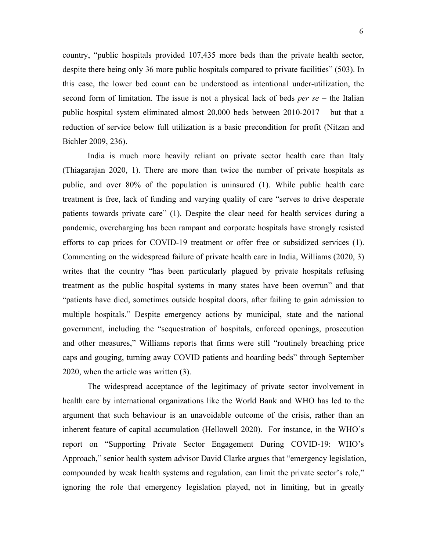country, "public hospitals provided 107,435 more beds than the private health sector, despite there being only 36 more public hospitals compared to private facilities" (503). In this case, the lower bed count can be understood as intentional under-utilization, the second form of limitation. The issue is not a physical lack of beds *per se* – the Italian public hospital system eliminated almost 20,000 beds between 2010-2017 – but that a reduction of service below full utilization is a basic precondition for profit (Nitzan and Bichler 2009, 236).

India is much more heavily reliant on private sector health care than Italy (Thiagarajan 2020, 1). There are more than twice the number of private hospitals as public, and over 80% of the population is uninsured (1). While public health care treatment is free, lack of funding and varying quality of care "serves to drive desperate patients towards private care" (1). Despite the clear need for health services during a pandemic, overcharging has been rampant and corporate hospitals have strongly resisted efforts to cap prices for COVID-19 treatment or offer free or subsidized services (1). Commenting on the widespread failure of private health care in India, Williams (2020, 3) writes that the country "has been particularly plagued by private hospitals refusing treatment as the public hospital systems in many states have been overrun" and that "patients have died, sometimes outside hospital doors, after failing to gain admission to multiple hospitals." Despite emergency actions by municipal, state and the national government, including the "sequestration of hospitals, enforced openings, prosecution and other measures," Williams reports that firms were still "routinely breaching price caps and gouging, turning away COVID patients and hoarding beds" through September 2020, when the article was written (3).

The widespread acceptance of the legitimacy of private sector involvement in health care by international organizations like the World Bank and WHO has led to the argument that such behaviour is an unavoidable outcome of the crisis, rather than an inherent feature of capital accumulation (Hellowell 2020). For instance, in the WHO's report on "Supporting Private Sector Engagement During COVID-19: WHO's Approach," senior health system advisor David Clarke argues that "emergency legislation, compounded by weak health systems and regulation, can limit the private sector's role," ignoring the role that emergency legislation played, not in limiting, but in greatly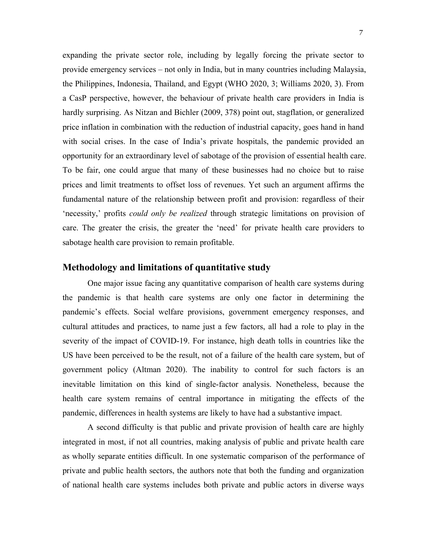expanding the private sector role, including by legally forcing the private sector to provide emergency services – not only in India, but in many countries including Malaysia, the Philippines, Indonesia, Thailand, and Egypt (WHO 2020, 3; Williams 2020, 3). From a CasP perspective, however, the behaviour of private health care providers in India is hardly surprising. As Nitzan and Bichler (2009, 378) point out, stagflation, or generalized price inflation in combination with the reduction of industrial capacity, goes hand in hand with social crises. In the case of India's private hospitals, the pandemic provided an opportunity for an extraordinary level of sabotage of the provision of essential health care. To be fair, one could argue that many of these businesses had no choice but to raise prices and limit treatments to offset loss of revenues. Yet such an argument affirms the fundamental nature of the relationship between profit and provision: regardless of their 'necessity,' profits *could only be realized* through strategic limitations on provision of care. The greater the crisis, the greater the 'need' for private health care providers to sabotage health care provision to remain profitable.

#### **Methodology and limitations ofquantitative study**

One major issue facing any quantitative comparison of health care systems during the pandemic is that health care systems are only one factor in determining the pandemic's effects. Social welfare provisions, government emergency responses, and cultural attitudes and practices, to name just a few factors, all had a role to play in the severity of the impact of COVID-19. For instance, high death tolls in countries like the US have been perceived to be the result, not of a failure of the health care system, but of government policy (Altman 2020). The inability to control for such factors is an inevitable limitation on this kind of single-factor analysis. Nonetheless, because the health care system remains of central importance in mitigating the effects of the pandemic, differences in health systems are likely to have had a substantive impact.

A second difficulty is that public and private provision of health care are highly integrated in most, if not all countries, making analysis of public and private health care as wholly separate entities difficult. In one systematic comparison of the performance of private and public health sectors, the authors note that both the funding and organization of national health care systems includes both private and public actors in diverse ways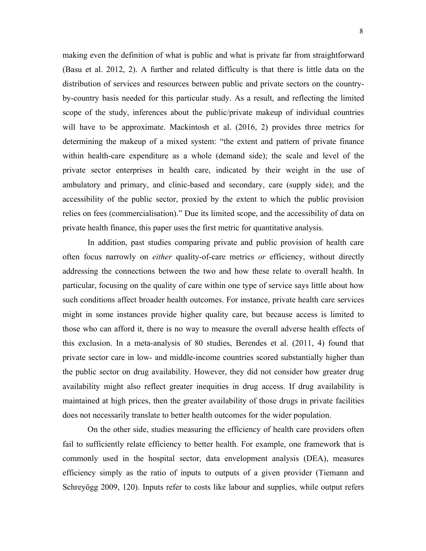making even the definition of what is public and what is private far from straightforward (Basu et al. 2012, 2). A further and related difficulty is that there is little data on the distribution of services and resources between public and private sectors on the country by-country basis needed for this particular study. As a result, and reflecting the limited scope of the study, inferences about the public/private makeup of individual countries will have to be approximate. Mackintosh et al. (2016, 2) provides three metrics for determining the makeup of a mixed system: "the extent and pattern of private finance within health-care expenditure as a whole (demand side); the scale and level of the private sector enterprises in health care, indicated by their weight in the use of ambulatory and primary, and clinic-based and secondary, care (supply side); and the accessibility of the public sector, proxied by the extent to which the public provision relies on fees (commercialisation)." Due its limited scope, and the accessibility of data on private health finance, this paper uses the first metric for quantitative analysis.

In addition, past studies comparing private and public provision of health care often focus narrowly on *either* quality-of-care metrics *or* efficiency, without directly addressing the connections between the two and how these relate to overall health. In particular, focusing on the quality of care within one type of service says little about how such conditions affect broader health outcomes. For instance, private health care services might in some instances provide higher quality care, but because access is limited to those who can afford it, there is no way to measure the overall adverse health effects of this exclusion. In a meta-analysis of 80 studies, Berendes et al.(2011, 4) found that private sector care in low- and middle-income countries scored substantially higher than the public sector on drug availability. However, they did not consider how greater drug availability might also reflect greater inequities in drug access. If drug availability is maintained at high prices, then the greater availability of those drugs in private facilities does not necessarily translate to better health outcomes for the wider population.

On the other side, studies measuring the efficiency of health care providers often fail to sufficiently relate efficiency to better health. For example, one framework that is commonly used in the hospital sector, data envelopment analysis (DEA), measures efficiency simply as the ratio of inputs to outputs of a given provider (Tiemann and Schreyögg 2009, 120). Inputs refer to costs like labour and supplies, while output refers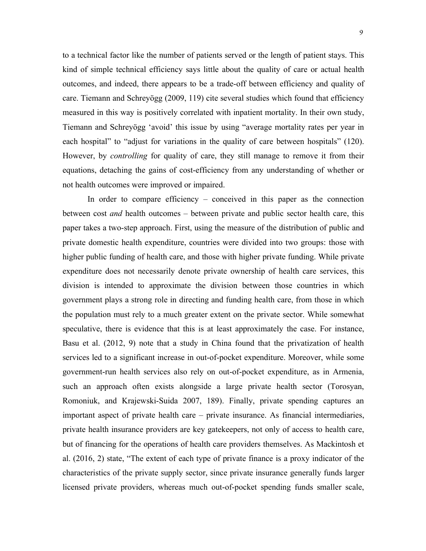to a technical factor like the number of patients served or the length of patient stays. This kind of simple technical efficiency says little about the quality of care or actual health outcomes, and indeed, there appears to be a trade-off between efficiency and quality of care. Tiemann and Schreyögg (2009, 119) cite several studies which found that efficiency measured in this way is positively correlated with inpatient mortality. In their own study, Tiemann and Schreyögg 'avoid' this issue by using "average mortality rates per year in each hospital" to "adjust for variations in the quality of care between hospitals" (120). However, by *controlling* for quality of care, they still manage to remove it from their equations, detaching the gains of cost-efficiency from any understanding of whether or not health outcomes were improved or impaired.

In order to compare efficiency – conceived in this paper as the connection between cost *and* health outcomes – between private and public sector health care, this paper takes a two-step approach. First, using the measure of the distribution of public and private domestic health expenditure, countries were divided into two groups: those with higher public funding of health care, and those with higher private funding. While private expenditure does not necessarily denote private ownership of health care services, this division is intended to approximate the division between those countries in which government plays a strong role in directing and funding health care, from those in which the population must rely to a much greater extent on the private sector. While somewhat speculative, there is evidence that this is at least approximately the case. For instance, Basu et al. (2012, 9) note that a study in China found that the privatization of health services led to a significant increase in out-of-pocket expenditure. Moreover, while some government-run health services also rely on out-of-pocket expenditure, as in Armenia, such an approach often exists alongside a large private health sector (Torosyan, Romoniuk, and Krajewski-Suida 2007, 189). Finally, private spending captures an important aspect of private health care – private insurance. As financial intermediaries, private health insurance providers are key gatekeepers, not only of access to health care, but of financing for the operations of health care providers themselves. As Mackintosh et al.  $(2016, 2)$  state, "The extent of each type of private finance is a proxy indicator of the characteristics of the private supply sector, since private insurance generally funds larger licensed private providers, whereas much out-of-pocket spending funds smaller scale,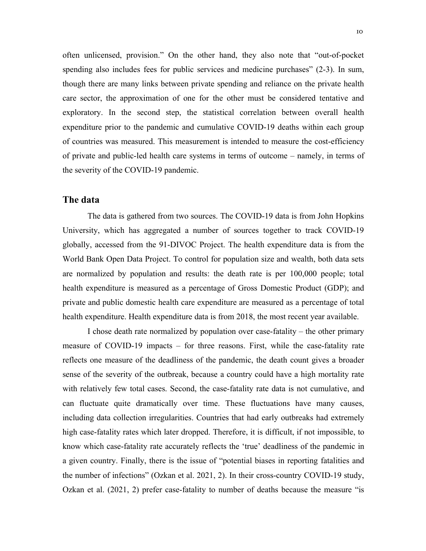often unlicensed, provision." On the other hand, they also note that "out-of-pocket spending also includes fees for public services and medicine purchases" (2-3). In sum, though there are many links between private spending and reliance on the private health care sector, the approximation of one for the other must be considered tentative and exploratory. In the second step, the statistical correlation between overall health expenditure prior to the pandemic and cumulative COVID-19 deaths within each group of countries was measured. This measurement is intended to measure the cost-efficiency of private and public-led health care systems in terms of outcome – namely, in terms of the severity of the COVID-19 pandemic.

#### **The data**

The data is gathered from two sources. The COVID-19 data is from John Hopkins University, which has aggregated a number of sources together to track COVID-19 globally, accessed from the 91-DIVOC Project. The health expenditure data isfrom the World Bank Open Data Project. To control for population size and wealth, both data sets are normalized by population and results: the death rate is per 100,000 people; total health expenditure is measured as a percentage of Gross Domestic Product (GDP); and private and public domestic health care expenditure are measured as a percentage of total health expenditure. Health expenditure data is from 2018, the most recent year available.

I chose death rate normalized by population over case-fatality – the other primary measure of COVID-19 impacts – for three reasons. First, while the case-fatality rate reflects one measure of the deadliness of the pandemic, the death count gives a broader sense of the severity of the outbreak, because a country could have a high mortality rate with relatively few total cases. Second, the case-fatality rate data is not cumulative, and can fluctuate quite dramatically over time. These fluctuations have many causes, including data collection irregularities. Countries that had early outbreaks had extremely high case-fatality rates which later dropped. Therefore, it is difficult, if not impossible, to know which case-fatality rate accurately reflects the 'true' deadliness of the pandemic in a given country. Finally, there is the issue of "potential biases in reporting fatalities and the number of infections" (Ozkan et al. 2021,2). In their cross-country COVID-19 study, Ozkan et al. (2021, 2) prefer case-fatality to number of deaths because the measure "is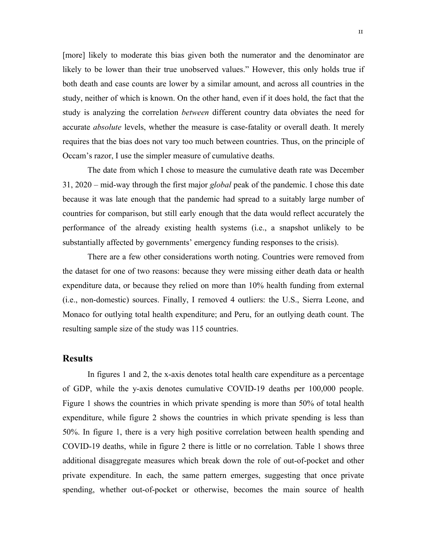[more] likely to moderate this bias given both the numerator and the denominator are likely to be lower than their true unobserved values." However, this only holds true if both death and case counts are lower by a similar amount, and across all countries in the study, neither of which is known. On the other hand, even if it does hold, the fact that the study is analyzing the correlation *between* different country data obviates the need for accurate *absolute* levels, whether the measure is case-fatality or overall death. It merely requires that the bias does not vary too much between countries. Thus, on the principle of Occam's razor, I use the simpler measure of cumulative deaths.

The date from which I chose to measure the cumulative death rate was December 31, 2020 – mid-way through the first major *global* peak of the pandemic. I chose this date because it was late enough that the pandemic had spread to a suitably large number of countries for comparison, but still early enough that the data would reflect accurately the performance of the already existing health systems (i.e., a snapshot unlikely to be substantially affected by governments' emergency funding responses to the crisis).

There are a few other considerations worth noting. Countries were removed from the dataset for one of two reasons: because they were missing either death data or health expenditure data, or because they relied on more than 10% health funding from external (i.e., non-domestic) sources. Finally, I removed 4 outliers: the U.S., Sierra Leone, and Monaco for outlying total health expenditure; and Peru, for an outlying death count. The resulting sample size of the study was 115 countries.

#### **Results**

In figures 1 and 2, the x-axis denotes total health care expenditure as a percentage of GDP, while the y-axis denotes cumulative COVID-19 deaths per 100,000 people. Figure 1 shows the countries in which private spending is more than 50% of total health expenditure, while figure 2 shows the countries in which private spending is less than 50%. In figure 1, there is a very high positive correlation between health spending and COVID-19 deaths, while in figure 2 there is little or no correlation. Table 1 shows three additional disaggregate measures which break down the role of out-of-pocket and other private expenditure. In each, the same pattern emerges, suggesting that once private spending, whether out-of-pocket or otherwise, becomes the main source of health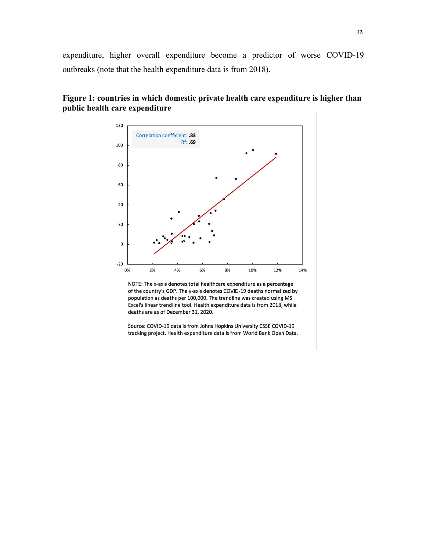expenditure, higher overall expenditure become a predictor of worse COVID-19 outbreaks (note that the health expenditure data is from 2018).



#### **Figure 1: countries in which domestic private health care expenditure is higher than public health care expenditure**

NOTE: The x-axis denotes total healthcare expenditure as a percentage of the country's GDP. The y-axis denotes COVID-19 deaths normalized by population as deaths per 100,000. The trendline was created using MS Excel's linear trendline tool. Health expenditure data is from 2018, while deaths are as of December 31, 2020.

Source: COVID-19 data is from Johns Hopkins University CSSE COVID-19 tracking project. Health expenditure data is from World Bank Open Data.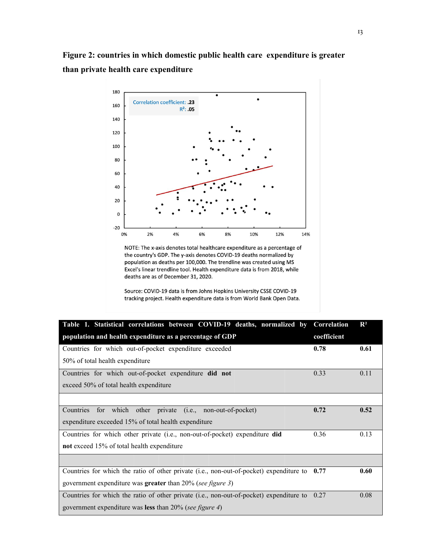

NOTE: The x-axis denotes total healthcare expenditure as a percentage of the country's GDP. The y-axis denotes COVID-19 deaths normalized by population as deaths per 100,000. The trendline was created using MS Excel's linear trendline tool. Health expenditure data is from 2018, while deaths are as of December 31, 2020.

Source: COVID-19 data is from Johns Hopkins University CSSE COVID-19 tracking project. Health expenditure data is from World Bank Open Data.

| Table 1. Statistical correlations between COVID-19 deaths, normalized by Correlation         |             | $\mathbf{R}^2$ |
|----------------------------------------------------------------------------------------------|-------------|----------------|
| population and health expenditure as a percentage of GDP                                     | coefficient |                |
| Countries for which out-of-pocket expenditure exceeded                                       | 0.78        | 0.61           |
| 50% of total health expenditure                                                              |             |                |
| Countries for which out-of-pocket expenditure did not                                        | 0.33        | 0.11           |
| exceed 50% of total health expenditure                                                       |             |                |
|                                                                                              |             |                |
| Countries<br>for which other private (i.e., non-out-of-pocket)                               | 0.72        | 0.52           |
| expenditure exceeded 15% of total health expenditure                                         |             |                |
| Countries for which other private (i.e., non-out-of-pocket) expenditure did                  | 0.36        | 0.13           |
| not exceed 15% of total health expenditure                                                   |             |                |
|                                                                                              |             |                |
| Countries for which the ratio of other private (i.e., non-out-of-pocket) expenditure to 0.77 |             | 0.60           |
| government expenditure was greater than 20% (see figure 3)                                   |             |                |
| Countries for which the ratio of other private (i.e., non-out-of-pocket) expenditure to 0.27 |             | 0.08           |
| government expenditure was less than $20\%$ (see figure 4)                                   |             |                |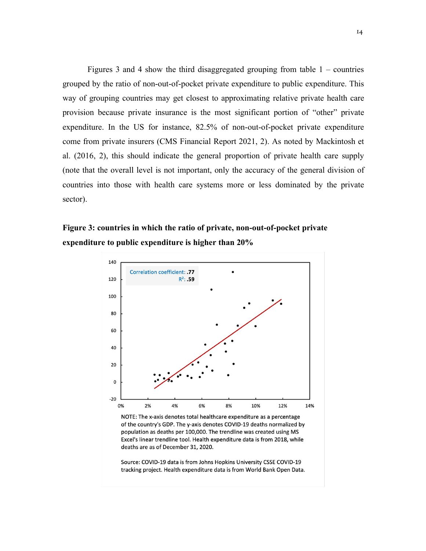Figures 3 and 4 show the third disaggregated grouping from table  $1 -$  countries grouped by the ratio of non-out-of-pocket private expenditure to public expenditure. This way of grouping countries may get closest to approximating relative private health care provision because private insurance is the most significant portion of "other" private expenditure. In the US for instance, 82.5% of non-out-of-pocket private expenditure come from private insurers (CMS Financial Report 2021, 2). As noted by Mackintosh et al. (2016, 2), this should indicate the general proportion of private health care supply (note that the overall level is not important, only the accuracy of the general division of countries into those with health care systems more or less dominated by the private sector).

### **Figure 3: countries in which the ratio of private, non-out-of-pocket private expenditure to public expenditure is higher than 20%**



NOTE: The x-axis denotes total healthcare expenditure as a percentage of the country's GDP. The y-axis denotes COVID-19 deaths normalized by population as deaths per 100,000. The trendline was created using MS Excel's linear trendline tool. Health expenditure data is from 2018, while deaths are as of December 31, 2020.

Source: COVID-19 data is from Johns Hopkins University CSSE COVID-19 tracking project. Health expenditure data is from World Bank Open Data.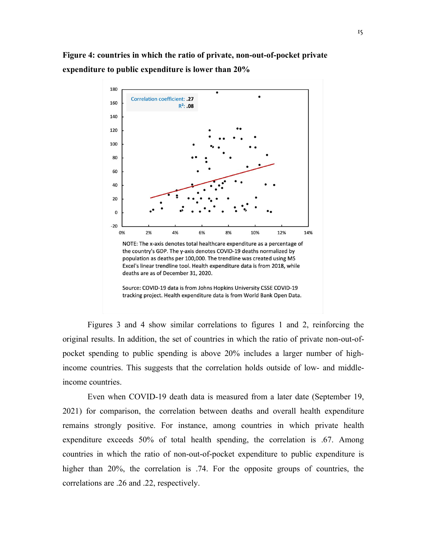

Source: COVID-19 data is from Johns Hopkins University CSSE COVID-19 tracking project. Health expenditure data is from World Bank Open Data.

Figures 3 and 4 show similar correlations to figures 1 and 2, reinforcing the original results. In addition, the set of countries in which the ratio of private non-out-of pocket spending to public spending is above 20% includes a larger number of highincome countries. This suggests that the correlation holds outside of low- and middleincome countries.

Even when COVID-19 death data is measured from a later date (September 19, 2021) for comparison, the correlation between deaths and overall health expenditure remains strongly positive. For instance, among countries in which private health expenditure exceeds 50% of total health spending, the correlation is .67. Among countries in which the ratio of non-out-of-pocket expenditure to public expenditure is higher than 20%, the correlation is .74. For the opposite groups of countries, the correlations are .26 and .22, respectively.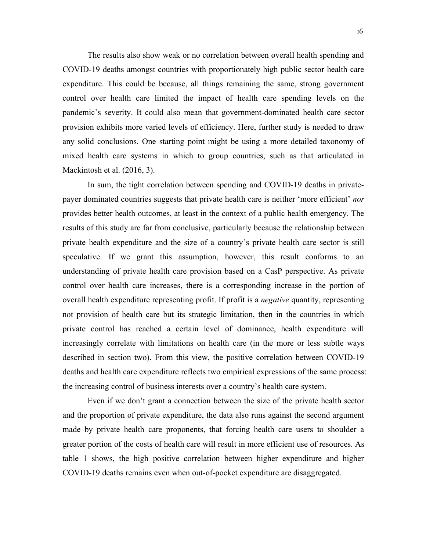The results also show weak or no correlation between overall health spending and COVID-19 deaths amongst countries with proportionately high public sector health care expenditure. This could be because, all things remaining the same, strong government control over health care limited the impact of health care spending levels on the pandemic's severity. It could also mean that government-dominated health care sector provision exhibits more varied levels of efficiency. Here, further study is needed to draw any solid conclusions. One starting point might be using a more detailed taxonomy of mixed health care systems in which to group countries, such as that articulated in Mackintosh et al. (2016, 3).

In sum, the tight correlation between spending and COVID-19 deaths in private payer dominated countries suggests that private health care is neither 'more efficient' *nor* provides better health outcomes, at least in the context of a public health emergency. The results of this study are far from conclusive, particularly because the relationship between private health expenditure and the size of a country's private health care sector is still speculative. If we grant this assumption, however, this result conforms to an understanding of private health care provision based on a CasP perspective. As private control over health care increases, there is a corresponding increase in the portion of overall health expenditure representing profit. If profit is a *negative* quantity, representing not provision of health care but its strategic limitation, then in the countries in which private control has reached a certain level of dominance, health expenditure will increasingly correlate with limitations on health care (in the more or less subtle ways described in section two). From this view, the positive correlation between COVID-19 deaths and health care expenditure reflects two empirical expressions of the same process: the increasing control of business interests over a country's health care system.

Even if we don't grant a connection between the size of the private health sector and the proportion of private expenditure, the data also runs against the second argument made by private health care proponents, that forcing health care users to shoulder a greater portion of the costs of health care will result in more efficient use of resources. As table 1 shows, the high positive correlation between higher expenditure and higher COVID-19 deaths remains even when out-of-pocket expenditure are disaggregated.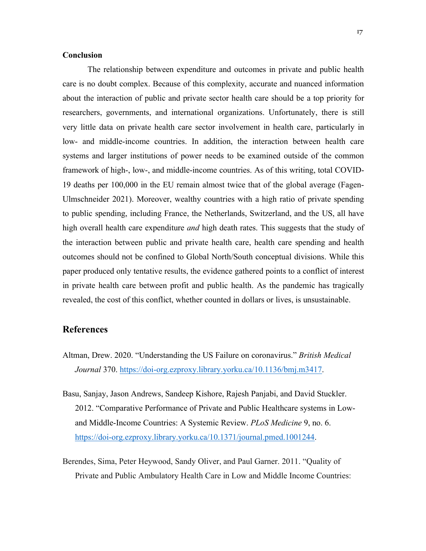#### **Conclusion**

The relationship between expenditure and outcomes in private and public health care is no doubt complex. Because of this complexity, accurate and nuanced information about the interaction of public and private sector health care should be a top priority for researchers, governments, and international organizations. Unfortunately, there is still very little data on private health care sector involvement in health care, particularly in low- and middle-income countries. In addition, the interaction between health care systems and larger institutions of power needs to be examined outside of the common framework of high-, low-, and middle-income countries. As of this writing, total COVID-19 deaths per 100,000 in the EU remain almost twice that of the global average (Fagen- Ulmschneider 2021). Moreover, wealthy countries with a high ratio of private spending to public spending, including France, the Netherlands, Switzerland, and the US, allhave high overall health care expenditure *and* high death rates. This suggests that the study of the interaction between public and private health care, health care spending and health outcomes should not be confined to Global North/South conceptual divisions. While this paper produced only tentative results, the evidence gathered points to a conflict of interest in private health care between profit and public health. As the pandemic has tragically revealed, the cost of this conflict, whether counted in dollars or lives, is unsustainable.

#### **References**

- Altman, Drew. 2020. "Understanding the US Failure on coronavirus." *British Medical Journal* 370. https://doi-org.ezproxy.library.yorku.ca/10.1136/bmj.m3417.
- Basu, Sanjay, Jason Andrews, Sandeep Kishore, Rajesh Panjabi, and David Stuckler. 2012. "Comparative Performance of Private and Public Healthcare systems in Low and Middle-Income Countries: A Systemic Review. *PLoS Medicine* 9, no. 6. https://doi-org.ezproxy.library.yorku.ca/10.1371/journal.pmed.1001244.
- Berendes, Sima, Peter Heywood, Sandy Oliver, and Paul Garner. 2011. "Quality of Private and Public Ambulatory Health Care in Low and Middle Income Countries: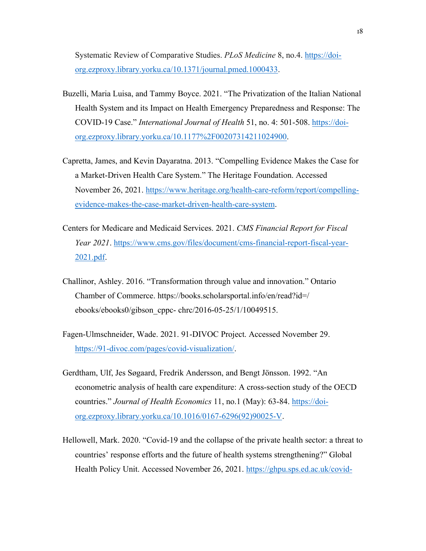Systematic Review of Comparative Studies. *PLoS Medicine* 8, no.4. https://doi org.ezproxy.library.yorku.ca/10.1371/journal.pmed.1000433.

- Buzelli, Maria Luisa, and Tammy Boyce. 2021. "The Privatization of the Italian National Health System and its Impact on Health Emergency Preparedness and Response: The COVID-19 Case." *International Journal of Health* 51, no. 4: 501-508. https://doi org.ezproxy.library.yorku.ca/10.1177%2F00207314211024900.
- Capretta, James, and Kevin Dayaratna. 2013. "Compelling Evidence Makes the Case for a Market-Driven Health Care System." The Heritage Foundation. Accessed November 26, 2021. https://www.heritage.org/health-care-reform/report/compelling evidence-makes-the-case-market-driven-health-care-system.
- Centers for Medicare and Medicaid Services. 2021. *CMS Financial Report for Fiscal Year 2021*. https://www.cms.gov/files/document/cms-financial-report-fiscal-year- 2021.pdf.
- Challinor, Ashley. 2016. "Transformation through value and innovation." Ontario Chamber of Commerce. https://books.scholarsportal.info/en/read?id=/ ebooks/ebooks0/gibson\_cppc- chrc/2016-05-25/1/10049515.
- Fagen-Ulmschneider, Wade. 2021. 91-DIVOC Project. Accessed November 29.<br>https://91-divoc.com/pages/covid-visualization/.
- Gerdtham, Ulf, Jes Søgaard, Fredrik Andersson,and Bengt Jönsson. 1992. "An econometric analysis of health care expenditure: A cross-section study of the OECD countries." *Journal of Health Economics* 11, no.1 (May): 63-84. https://doi org.ezproxy.library.yorku.ca/10.1016/0167-6296(92)90025-V.
- Hellowell, Mark. 2020. "Covid-19 and the collapse of the private health sector: a threat to countries' response efforts and the future of health systems strengthening?" Global Health Policy Unit. Accessed November 26, 2021. https://ghpu.sps.ed.ac.uk/covid-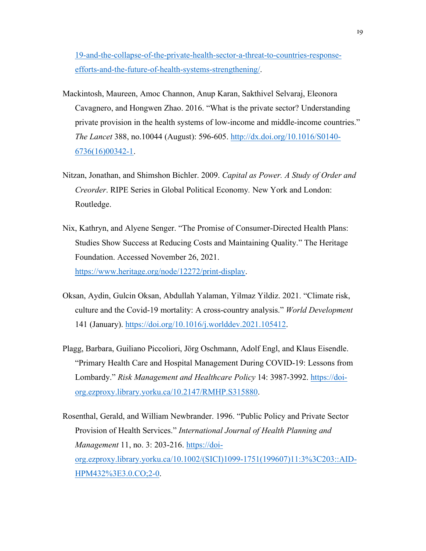19-and-the-collapse-of-the-private-health-sector-a-threat-to-countries-response efforts-and-the-future-of-health-systems-strengthening/.

- Mackintosh, Maureen, Amoc Channon, Anup Karan, Sakthivel Selvaraj, Eleonora Cavagnero, and Hongwen Zhao. 2016. "What is the private sector? Understanding private provision in the health systems of low-income and middle-income countries." *The Lancet* 388, no.10044 (August): 596-605. http://dx.doi.org/10.1016/S0140- 6736(16)00342-1.
- Nitzan, Jonathan, and Shimshon Bichler. 2009. *Capital as Power. A Study of Order and Creorder*. RIPE Series in Global Political Economy*.* New York and London: Routledge.
- Nix, Kathryn, and Alyene Senger. "The Promise of Consumer-Directed Health Plans: Studies Show Success at Reducing Costs and Maintaining Quality." The Heritage Foundation. Accessed November 26, 2021. https://www.heritage.org/node/12272/print-display.
- Oksan, Aydin, Gulcin Oksan, Abdullah Yalaman, Yilmaz Yildiz. 2021. "Climate risk, culture and the Covid-19 mortality:A cross-country analysis." *World Development* 141 (January). https://doi.org/10.1016/j.worlddev.2021.105412.
- Plagg, Barbara, Guiliano Piccoliori, Jörg Oschmann,Adolf Engl, and Klaus Eisendle. "Primary Health Care and Hospital Management During COVID-19: Lessons from Lombardy." *Risk Management and Healthcare Policy* 14: 3987-3992. https://doi org.ezproxy.library.yorku.ca/10.2147/RMHP.S315880.
- Rosenthal, Gerald, and William Newbrander. 1996. "Public Policy and Private Sector Provision of Health Services." *International Journal of Health Planning and Management* 11, no. 3: 203-216. https://doi org.ezproxy.library.yorku.ca/10.1002/(SICI)1099-1751(199607)11:3%3C203::AID- HPM432%3E3.0.CO;2-0.